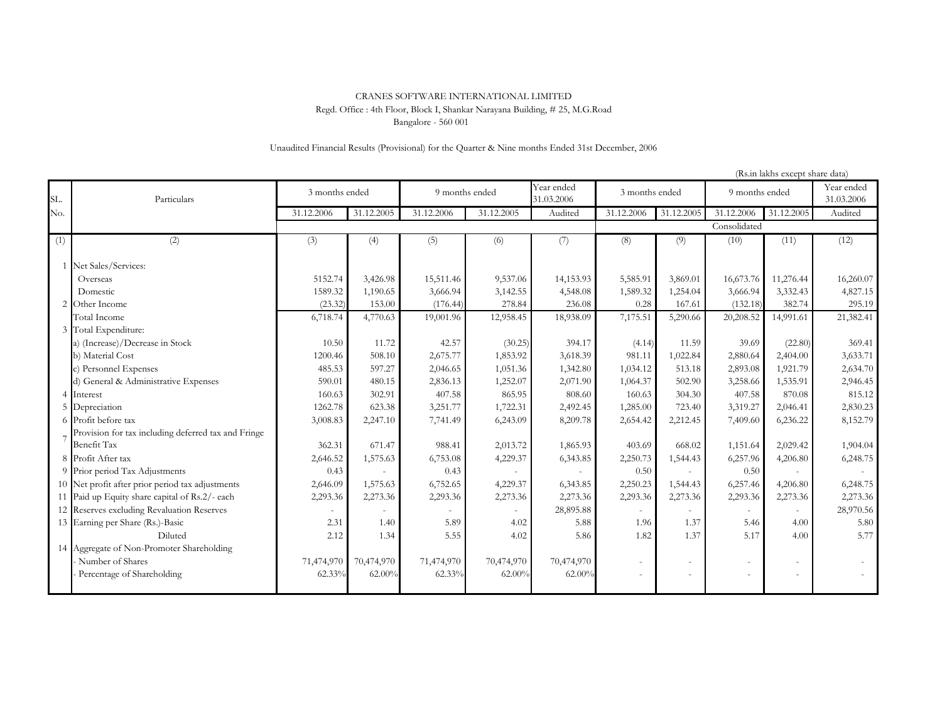## Bangalore - 560 001 CRANES SOFTWARE INTERNATIONAL LIMITED Regd. Office : 4th Floor, Block I, Shankar Narayana Building, # 25, M.G.Road

## Unaudited Financial Results (Provisional) for the Quarter & Nine months Ended 31st December, 2006

|     |                                                     |                |            |                |            |                          |                |                          |                | (Rs.in lakhs except share data) |                          |
|-----|-----------------------------------------------------|----------------|------------|----------------|------------|--------------------------|----------------|--------------------------|----------------|---------------------------------|--------------------------|
| SL. | Particulars                                         | 3 months ended |            | 9 months ended |            | Year ended<br>31.03.2006 | 3 months ended |                          | 9 months ended |                                 | Year ended<br>31.03.2006 |
| No. |                                                     | 31.12.2006     | 31.12.2005 | 31.12.2006     | 31.12.2005 | Audited                  | 31.12.2006     | 31.12.2005               | 31.12.2006     | 31.12.2005                      | Audited                  |
|     |                                                     |                |            |                |            |                          |                |                          | Consolidated   |                                 |                          |
| (1) | (2)                                                 | (3)            | (4)        | (5)            | (6)        | (7)                      | (8)            | (9)                      | (10)           | (11)                            | (12)                     |
|     | 1 Net Sales/Services:                               |                |            |                |            |                          |                |                          |                |                                 |                          |
|     | Overseas                                            | 5152.74        | 3,426.98   | 15,511.46      | 9,537.06   | 14,153.93                | 5,585.91       | 3,869.01                 | 16,673.76      | 11,276.44                       | 16,260.07                |
|     | Domestic                                            | 1589.32        | 1,190.65   | 3,666.94       | 3,142.55   | 4,548.08                 | 1,589.32       | 1,254.04                 | 3,666.94       | 3,332.43                        | 4,827.15                 |
|     | 2 Other Income                                      | (23.32)        | 153.00     | (176.44)       | 278.84     | 236.08                   | 0.28           | 167.61                   | (132.18)       | 382.74                          | 295.19                   |
|     | Total Income                                        | 6,718.74       | 4,770.63   | 19,001.96      | 12,958.45  | 18,938.09                | 7,175.51       | 5,290.66                 | 20,208.52      | 14,991.61                       | 21,382.41                |
|     | 3 Total Expenditure:                                |                |            |                |            |                          |                |                          |                |                                 |                          |
|     | a) (Increase)/Decrease in Stock                     | 10.50          | 11.72      | 42.57          | (30.25)    | 394.17                   | (4.14)         | 11.59                    | 39.69          | (22.80)                         | 369.41                   |
|     | b) Material Cost                                    | 1200.46        | 508.10     | 2,675.77       | 1,853.92   | 3,618.39                 | 981.11         | 1,022.84                 | 2,880.64       | 2,404.00                        | 3,633.71                 |
|     | c) Personnel Expenses                               | 485.53         | 597.27     | 2,046.65       | 1,051.36   | 1,342.80                 | 1,034.12       | 513.18                   | 2,893.08       | 1,921.79                        | 2,634.70                 |
|     | d) General & Administrative Expenses                | 590.01         | 480.15     | 2,836.13       | 1,252.07   | 2,071.90                 | 1,064.37       | 502.90                   | 3,258.66       | 1,535.91                        | 2,946.45                 |
|     | 4 Interest                                          | 160.63         | 302.91     | 407.58         | 865.95     | 808.60                   | 160.63         | 304.30                   | 407.58         | 870.08                          | 815.12                   |
|     | 5 Depreciation                                      | 1262.78        | 623.38     | 3,251.77       | 1,722.31   | 2,492.45                 | 1,285.00       | 723.40                   | 3,319.27       | 2,046.41                        | 2,830.23                 |
|     | 6 Profit before tax                                 | 3,008.83       | 2,247.10   | 7,741.49       | 6,243.09   | 8,209.78                 | 2,654.42       | 2,212.45                 | 7,409.60       | 6,236.22                        | 8,152.79                 |
|     | Provision for tax including deferred tax and Fringe |                |            |                |            |                          |                |                          |                |                                 |                          |
|     | <b>Benefit Tax</b>                                  | 362.31         | 671.47     | 988.41         | 2,013.72   | 1,865.93                 | 403.69         | 668.02                   | 1,151.64       | 2,029.42                        | 1,904.04                 |
|     | 8 Profit After tax                                  | 2,646.52       | 1,575.63   | 6,753.08       | 4,229.37   | 6,343.85                 | 2,250.73       | 1,544.43                 | 6,257.96       | 4,206.80                        | 6,248.75                 |
|     | 9 Prior period Tax Adjustments                      | 0.43           |            | 0.43           |            |                          | 0.50           |                          | 0.50           |                                 |                          |
|     | 10 Net profit after prior period tax adjustments    | 2,646.09       | 1,575.63   | 6,752.65       | 4,229.37   | 6,343.85                 | 2,250.23       | 1,544.43                 | 6,257.46       | 4,206.80                        | 6,248.75                 |
|     | 11 Paid up Equity share capital of Rs.2/- each      | 2,293.36       | 2,273.36   | 2,293.36       | 2,273.36   | 2,273.36                 | 2,293.36       | 2,273.36                 | 2,293.36       | 2,273.36                        | 2,273.36                 |
|     | 12 Reserves excluding Revaluation Reserves          |                |            |                |            | 28,895.88                |                |                          |                |                                 | 28,970.56                |
|     | 13 Earning per Share (Rs.)-Basic                    | 2.31           | 1.40       | 5.89           | 4.02       | 5.88                     | 1.96           | 1.37                     | 5.46           | 4.00                            | 5.80                     |
|     | Diluted                                             | 2.12           | 1.34       | 5.55           | 4.02       | 5.86                     | 1.82           | 1.37                     | 5.17           | 4.00                            | 5.77                     |
|     | 14 Aggregate of Non-Promoter Shareholding           |                |            |                |            |                          |                |                          |                |                                 |                          |
|     | Number of Shares                                    | 71,474,970     | 70,474,970 | 71,474,970     | 70,474,970 | 70,474,970               | $\sim$         | $\overline{\phantom{a}}$ |                | $\overline{\phantom{a}}$        |                          |
|     | Percentage of Shareholding                          | $62.33\%$      | 62.00%     | 62.33%         | 62.00%     | 62.00%                   |                |                          |                |                                 |                          |
|     |                                                     |                |            |                |            |                          |                |                          |                |                                 |                          |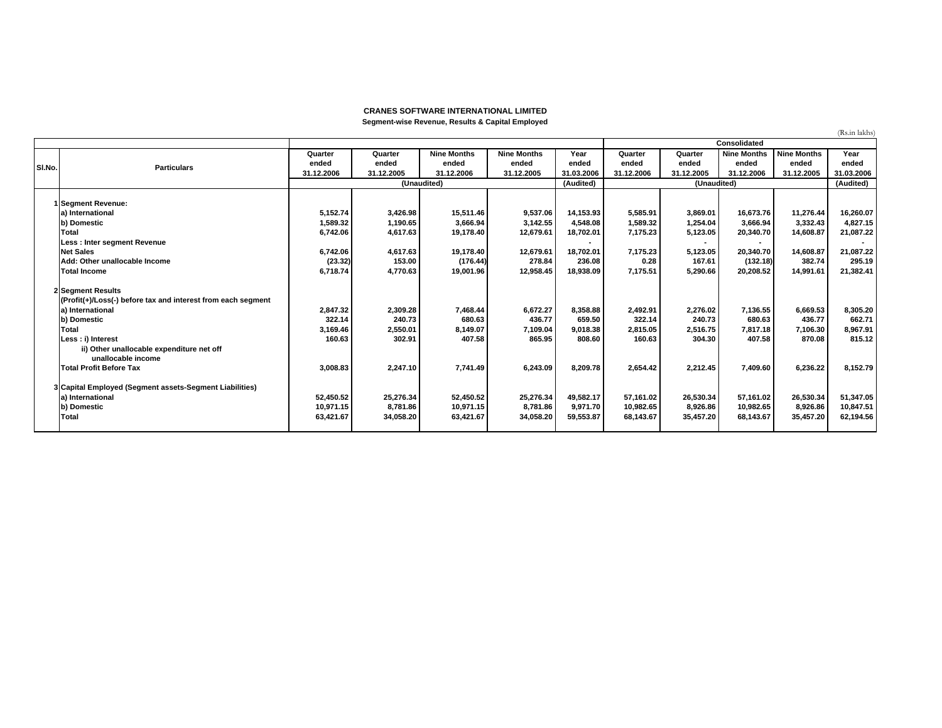## **CRANES SOFTWARE INTERNATIONAL LIMITEDSegment-wise Revenue, Results & Capital Employed**

|        |                                                              |            |            |                    |                    |            |            |             |                    |                    | (Rs.in lakhs |
|--------|--------------------------------------------------------------|------------|------------|--------------------|--------------------|------------|------------|-------------|--------------------|--------------------|--------------|
|        |                                                              |            |            |                    |                    |            |            |             | Consolidated       |                    |              |
|        |                                                              | Quarter    | Quarter    | <b>Nine Months</b> | <b>Nine Months</b> | Year       | Quarter    | Quarter     | <b>Nine Months</b> | <b>Nine Months</b> | Year         |
| SI.No. | <b>Particulars</b>                                           | ended      | ended      | ended              | ended              | ended      | ended      | ended       | ended              | ended              | ended        |
|        |                                                              | 31.12.2006 | 31.12.2005 | 31.12.2006         | 31.12.2005         | 31.03.2006 | 31.12.2006 | 31.12.2005  | 31.12.2006         | 31.12.2005         | 31.03.2006   |
|        |                                                              |            |            | (Unaudited)        |                    | (Audited)  |            | (Unaudited) |                    |                    | (Audited)    |
|        |                                                              |            |            |                    |                    |            |            |             |                    |                    |              |
|        | 1 Segment Revenue:                                           |            |            |                    |                    |            |            |             |                    |                    |              |
|        | a) International                                             | 5,152.74   | 3,426.98   | 15,511.46          | 9,537.06           | 14,153.93  | 5,585.91   | 3,869.01    | 16,673.76          | 11,276.44          | 16,260.07    |
|        | b) Domestic                                                  | 1,589.32   | 1,190.65   | 3,666.94           | 3,142.55           | 4,548.08   | 1,589.32   | 1,254.04    | 3,666.94           | 3,332.43           | 4,827.15     |
|        | Total                                                        | 6,742.06   | 4,617.63   | 19,178.40          | 12,679.61          | 18,702.01  | 7,175.23   | 5,123.05    | 20,340.70          | 14,608.87          | 21,087.22    |
|        | Less : Inter segment Revenue                                 |            |            |                    |                    |            |            |             |                    |                    |              |
|        | <b>Net Sales</b>                                             | 6,742.06   | 4,617.63   | 19,178.40          | 12,679.61          | 18,702.01  | 7,175.23   | 5,123.05    | 20,340.70          | 14,608.87          | 21,087.22    |
|        | Add: Other unallocable Income                                | (23.32)    | 153.00     | (176.44)           | 278.84             | 236.08     | 0.28       | 167.61      | (132.18)           | 382.74             | 295.19       |
|        | <b>Total Income</b>                                          | 6,718.74   | 4,770.63   | 19.001.96          | 12,958.45          | 18,938.09  | 7,175.51   | 5,290.66    | 20,208.52          | 14,991.61          | 21,382.41    |
|        | 2 Segment Results                                            |            |            |                    |                    |            |            |             |                    |                    |              |
|        | (Profit(+)/Loss(-) before tax and interest from each segment |            |            |                    |                    |            |            |             |                    |                    |              |
|        | a) International                                             | 2,847.32   | 2,309.28   | 7,468.44           | 6,672.27           | 8,358.88   | 2,492.91   | 2,276.02    | 7,136.55           | 6,669.53           | 8,305.20     |
|        | b) Domestic                                                  | 322.14     | 240.73     | 680.63             | 436.77             | 659.50     | 322.14     | 240.73      | 680.63             | 436.77             | 662.71       |
|        | Total                                                        | 3,169.46   | 2,550.01   | 8,149.07           | 7,109.04           | 9,018.38   | 2,815.05   | 2,516.75    | 7,817.18           | 7,106.30           | 8,967.91     |
|        | Less : i) Interest                                           | 160.63     | 302.91     | 407.58             | 865.95             | 808.60     | 160.63     | 304.30      | 407.58             | 870.08             | 815.12       |
|        | ii) Other unallocable expenditure net off                    |            |            |                    |                    |            |            |             |                    |                    |              |
|        | unallocable income                                           |            |            |                    |                    |            |            |             |                    |                    |              |
|        | <b>Total Profit Before Tax</b>                               | 3,008.83   | 2,247.10   | 7,741.49           | 6,243.09           | 8,209.78   | 2,654.42   | 2,212.45    | 7,409.60           | 6,236.22           | 8,152.79     |
|        |                                                              |            |            |                    |                    |            |            |             |                    |                    |              |
|        | 3 Capital Employed (Segment assets-Segment Liabilities)      |            |            |                    |                    |            |            |             |                    |                    |              |
|        | a) International                                             | 52,450.52  | 25,276.34  | 52,450.52          | 25,276.34          | 49,582.17  | 57,161.02  | 26,530.34   | 57,161.02          | 26,530.34          | 51,347.05    |
|        | b) Domestic                                                  | 10,971.15  | 8,781.86   | 10,971.15          | 8,781.86           | 9,971.70   | 10,982.65  | 8,926.86    | 10,982.65          | 8,926.86           | 10,847.51    |
|        | <b>Total</b>                                                 | 63,421.67  | 34,058.20  | 63,421.67          | 34,058.20          | 59,553.87  | 68,143.67  | 35,457.20   | 68,143.67          | 35,457.20          | 62,194.56    |
|        |                                                              |            |            |                    |                    |            |            |             |                    |                    |              |
|        |                                                              |            |            |                    |                    |            |            |             |                    |                    |              |

(Rs.in lakhs)